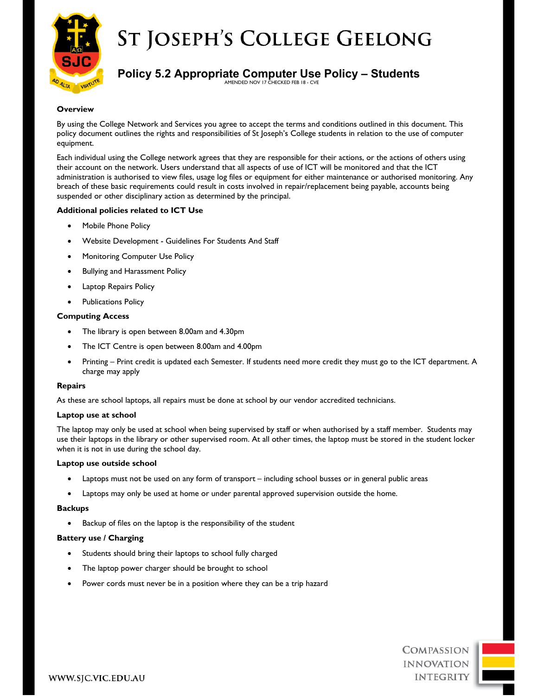

# **ST JOSEPH'S COLLEGE GEELONG**

## **Policy 5.2 Appropriate Computer Use Policy – Students**

AMENDED NOV 17 CHECKED FEB 18 - CVE

## **Overview**

By using the College Network and Services you agree to accept the terms and conditions outlined in this document. This policy document outlines the rights and responsibilities of St Joseph's College students in relation to the use of computer equipment.

Each individual using the College network agrees that they are responsible for their actions, or the actions of others using their account on the network. Users understand that all aspects of use of ICT will be monitored and that the ICT administration is authorised to view files, usage log files or equipment for either maintenance or authorised monitoring. Any breach of these basic requirements could result in costs involved in repair/replacement being payable, accounts being suspended or other disciplinary action as determined by the principal.

## **Additional policies related to ICT Use**

- Mobile Phone Policy
- Website Development Guidelines For Students And Staff
- Monitoring Computer Use Policy
- Bullying and Harassment Policy
- Laptop Repairs Policy
- Publications Policy

## **Computing Access**

- The library is open between 8.00am and 4.30pm
- The ICT Centre is open between 8.00am and 4.00pm
- Printing Print credit is updated each Semester. If students need more credit they must go to the ICT department. A charge may apply

## **Repairs**

As these are school laptops, all repairs must be done at school by our vendor accredited technicians.

## **Laptop use at school**

The laptop may only be used at school when being supervised by staff or when authorised by a staff member. Students may use their laptops in the library or other supervised room. At all other times, the laptop must be stored in the student locker when it is not in use during the school day.

## **Laptop use outside school**

- Laptops must not be used on any form of transport including school busses or in general public areas
- Laptops may only be used at home or under parental approved supervision outside the home.

## **Backups**

Backup of files on the laptop is the responsibility of the student

## **Battery use / Charging**

- Students should bring their laptops to school fully charged
- The laptop power charger should be brought to school
- Power cords must never be in a position where they can be a trip hazard

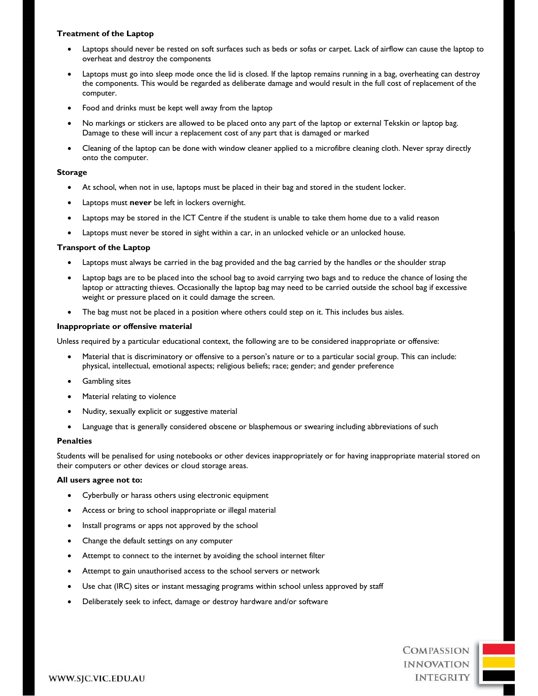## **Treatment of the Laptop**

- Laptops should never be rested on soft surfaces such as beds or sofas or carpet. Lack of airflow can cause the laptop to overheat and destroy the components
- Laptops must go into sleep mode once the lid is closed. If the laptop remains running in a bag, overheating can destroy the components. This would be regarded as deliberate damage and would result in the full cost of replacement of the computer.
- Food and drinks must be kept well away from the laptop
- No markings or stickers are allowed to be placed onto any part of the laptop or external Tekskin or laptop bag. Damage to these will incur a replacement cost of any part that is damaged or marked
- Cleaning of the laptop can be done with window cleaner applied to a microfibre cleaning cloth. Never spray directly onto the computer.

## **Storage**

- At school, when not in use, laptops must be placed in their bag and stored in the student locker.
- Laptops must **never** be left in lockers overnight.
- Laptops may be stored in the ICT Centre if the student is unable to take them home due to a valid reason
- Laptops must never be stored in sight within a car, in an unlocked vehicle or an unlocked house.

## **Transport of the Laptop**

- Laptops must always be carried in the bag provided and the bag carried by the handles or the shoulder strap
- Laptop bags are to be placed into the school bag to avoid carrying two bags and to reduce the chance of losing the laptop or attracting thieves. Occasionally the laptop bag may need to be carried outside the school bag if excessive weight or pressure placed on it could damage the screen.
- The bag must not be placed in a position where others could step on it. This includes bus aisles.

## **Inappropriate or offensive material**

Unless required by a particular educational context, the following are to be considered inappropriate or offensive:

- Material that is discriminatory or offensive to a person's nature or to a particular social group. This can include: physical, intellectual, emotional aspects; religious beliefs; race; gender; and gender preference
- Gambling sites
- Material relating to violence
- Nudity, sexually explicit or suggestive material
- Language that is generally considered obscene or blasphemous or swearing including abbreviations of such

## **Penalties**

Students will be penalised for using notebooks or other devices inappropriately or for having inappropriate material stored on their computers or other devices or cloud storage areas.

## **All users agree not to:**

- Cyberbully or harass others using electronic equipment
- Access or bring to school inappropriate or illegal material
- Install programs or apps not approved by the school
- Change the default settings on any computer
- Attempt to connect to the internet by avoiding the school internet filter
- Attempt to gain unauthorised access to the school servers or network
- Use chat (IRC) sites or instant messaging programs within school unless approved by staff
- Deliberately seek to infect, damage or destroy hardware and/or software

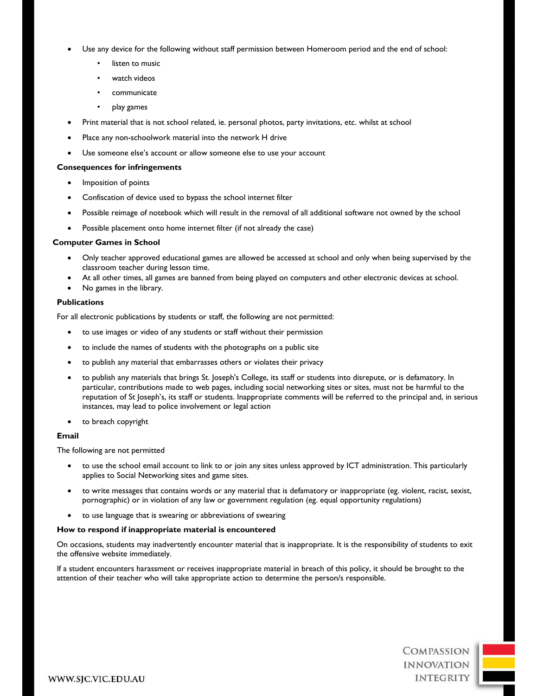- Use any device for the following without staff permission between Homeroom period and the end of school:
	- listen to music
	- watch videos
	- communicate
	- play games
- Print material that is not school related, ie. personal photos, party invitations, etc. whilst at school
- Place any non-schoolwork material into the network H drive
- Use someone else's account or allow someone else to use your account

## **Consequences for infringements**

- Imposition of points
- Confiscation of device used to bypass the school internet filter
- Possible reimage of notebook which will result in the removal of all additional software not owned by the school
- Possible placement onto home internet filter (if not already the case)

## **Computer Games in School**

- Only teacher approved educational games are allowed be accessed at school and only when being supervised by the classroom teacher during lesson time.
- At all other times, all games are banned from being played on computers and other electronic devices at school.
- No games in the library.

## **Publications**

For all electronic publications by students or staff, the following are not permitted:

- to use images or video of any students or staff without their permission
- to include the names of students with the photographs on a public site
- to publish any material that embarrasses others or violates their privacy
- to publish any materials that brings St. Joseph's College, its staff or students into disrepute, or is defamatory. In particular, contributions made to web pages, including social networking sites or sites, must not be harmful to the reputation of St Joseph's, its staff or students. Inappropriate comments will be referred to the principal and, in serious instances, may lead to police involvement or legal action
- to breach copyright

## **Email**

The following are not permitted

- to use the school email account to link to or join any sites unless approved by ICT administration. This particularly applies to Social Networking sites and game sites.
- to write messages that contains words or any material that is defamatory or inappropriate (eg. violent, racist, sexist, pornographic) or in violation of any law or government regulation (eg. equal opportunity regulations)
- to use language that is swearing or abbreviations of swearing

## **How to respond if inappropriate material is encountered**

On occasions, students may inadvertently encounter material that is inappropriate. It is the responsibility of students to exit the offensive website immediately.

If a student encounters harassment or receives inappropriate material in breach of this policy, it should be brought to the attention of their teacher who will take appropriate action to determine the person/s responsible.

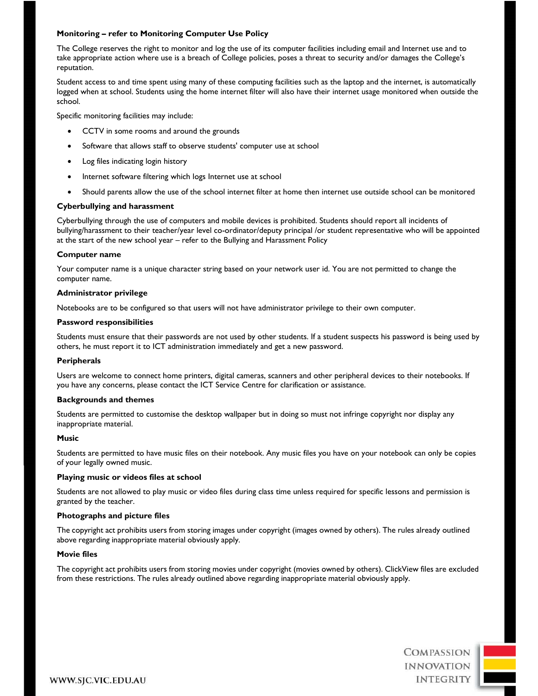## **Monitoring – refer to Monitoring Computer Use Policy**

The College reserves the right to monitor and log the use of its computer facilities including email and Internet use and to take appropriate action where use is a breach of College policies, poses a threat to security and/or damages the College's reputation.

Student access to and time spent using many of these computing facilities such as the laptop and the internet, is automatically logged when at school. Students using the home internet filter will also have their internet usage monitored when outside the school.

Specific monitoring facilities may include:

- CCTV in some rooms and around the grounds
- Software that allows staff to observe students' computer use at school
- Log files indicating login history
- Internet software filtering which logs Internet use at school
- Should parents allow the use of the school internet filter at home then internet use outside school can be monitored

## **Cyberbullying and harassment**

Cyberbullying through the use of computers and mobile devices is prohibited. Students should report all incidents of bullying/harassment to their teacher/year level co-ordinator/deputy principal /or student representative who will be appointed at the start of the new school year – refer to the Bullying and Harassment Policy

## **Computer name**

Your computer name is a unique character string based on your network user id. You are not permitted to change the computer name.

## **Administrator privilege**

Notebooks are to be configured so that users will not have administrator privilege to their own computer.

## **Password responsibilities**

Students must ensure that their passwords are not used by other students. If a student suspects his password is being used by others, he must report it to ICT administration immediately and get a new password.

## **Peripherals**

Users are welcome to connect home printers, digital cameras, scanners and other peripheral devices to their notebooks. If you have any concerns, please contact the ICT Service Centre for clarification or assistance.

## **Backgrounds and themes**

Students are permitted to customise the desktop wallpaper but in doing so must not infringe copyright nor display any inappropriate material.

## **Music**

Students are permitted to have music files on their notebook. Any music files you have on your notebook can only be copies of your legally owned music.

## **Playing music or videos files at school**

Students are not allowed to play music or video files during class time unless required for specific lessons and permission is granted by the teacher.

## **Photographs and picture files**

The copyright act prohibits users from storing images under copyright (images owned by others). The rules already outlined above regarding inappropriate material obviously apply.

## **Movie files**

The copyright act prohibits users from storing movies under copyright (movies owned by others). ClickView files are excluded from these restrictions. The rules already outlined above regarding inappropriate material obviously apply.